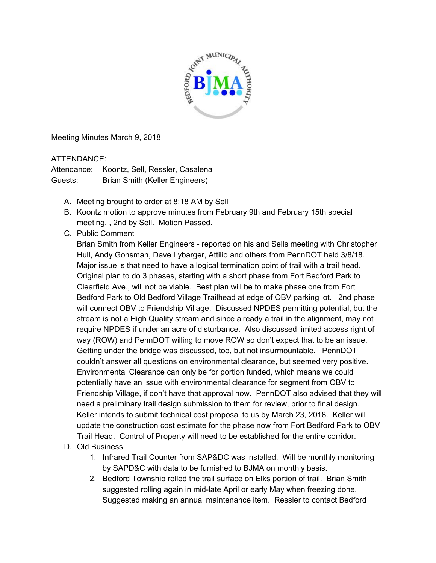

Meeting Minutes March 9, 2018

## ATTENDANCE:

Attendance: Koontz, Sell, Ressler, Casalena Guests: Brian Smith (Keller Engineers)

- A. Meeting brought to order at 8:18 AM by Sell
- B. Koontz motion to approve minutes from February 9th and February 15th special meeting. , 2nd by Sell. Motion Passed.
- C. Public Comment

Brian Smith from Keller Engineers - reported on his and Sells meeting with Christopher Hull, Andy Gonsman, Dave Lybarger, Attilio and others from PennDOT held 3/8/18. Major issue is that need to have a logical termination point of trail with a trail head. Original plan to do 3 phases, starting with a short phase from Fort Bedford Park to Clearfield Ave., will not be viable. Best plan will be to make phase one from Fort Bedford Park to Old Bedford Village Trailhead at edge of OBV parking lot. 2nd phase will connect OBV to Friendship Village. Discussed NPDES permitting potential, but the stream is not a High Quality stream and since already a trail in the alignment, may not require NPDES if under an acre of disturbance. Also discussed limited access right of way (ROW) and PennDOT willing to move ROW so don't expect that to be an issue. Getting under the bridge was discussed, too, but not insurmountable. PennDOT couldn't answer all questions on environmental clearance, but seemed very positive. Environmental Clearance can only be for portion funded, which means we could potentially have an issue with environmental clearance for segment from OBV to Friendship Village, if don't have that approval now. PennDOT also advised that they will need a preliminary trail design submission to them for review, prior to final design. Keller intends to submit technical cost proposal to us by March 23, 2018. Keller will update the construction cost estimate for the phase now from Fort Bedford Park to OBV Trail Head. Control of Property will need to be established for the entire corridor.

- D. Old Business
	- 1. Infrared Trail Counter from SAP&DC was installed. Will be monthly monitoring by SAPD&C with data to be furnished to BJMA on monthly basis.
	- 2. Bedford Township rolled the trail surface on Elks portion of trail. Brian Smith suggested rolling again in mid-late April or early May when freezing done. Suggested making an annual maintenance item. Ressler to contact Bedford